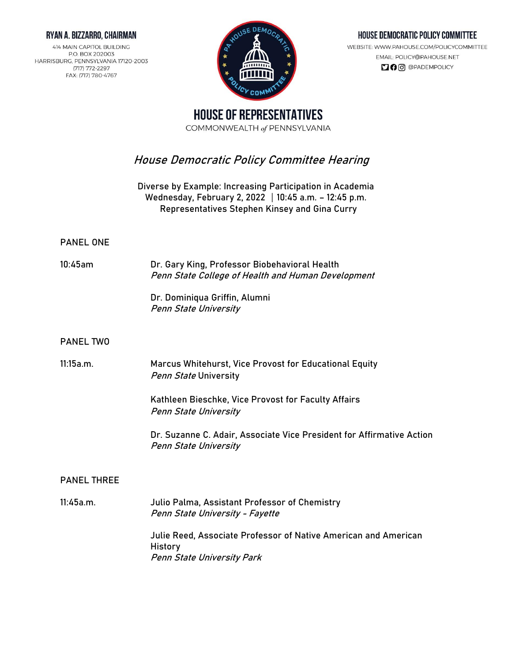#### RYAN A. BIZZARRO, CHAIRMAN

414 MAIN CAPITOL BUILDING P.O. BOX 202003 HARRISBURG, PENNSYLVANIA 17120-2003 (717) 772-2297 FAX: (717) 780-4767



### HOUSE DEMOCRATIC POLICY COMMITTEE

WEBSITE: WWW.PAHOUSE.COM/POLICYCOMMITTEE EMAIL: POLICY@PAHOUSE.NET 

**HOUSE OF REPRESENTATIVES** COMMONWEALTH of PENNSYLVANIA

# **House Democratic Policy Committee Hearing**

**Diverse by Example: Increasing Participation in Academia** Wednesday, February 2, 2022 | 10:45 a.m. - 12:45 p.m. **Representatives Stephen Kinsey and Gina Curry**

#### **PANEL ONE**

**10:45am Dr. Gary King,** Professor Biobehavioral Health Penn State College of Health and Human Development

> **Dr. Dominiqua Griffin**, Alumni Penn State University

#### **PANEL TWO**

**11:15a.m**. **Marcus Whitehurst**, Vice Provost for Educational Equity Penn State University

> **Kathleen Bieschke**, Vice Provost for Faculty Affairs Penn State University

**Dr. Suzanne C. Adair**, Associate Vice President for Affirmative Action Penn State University

### **PANEL THREE**

**11:45a.m. Julio Palma,** Assistant Professor of Chemistry Penn State University - Fayette **Julie Reed,** Associate Professor of Native American and American **History** Penn State University Park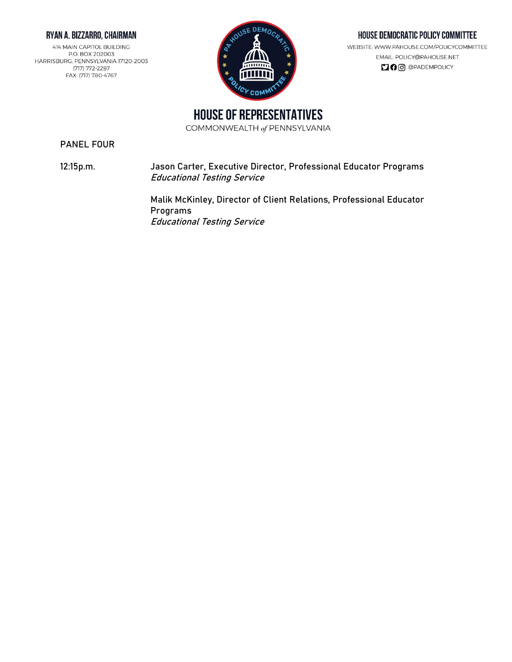### RYAN A. BIZZARRO, CHAIRMAN

414 MAIN CAPITOL BUILDING P.O. BOX 202003 HARRISBURG, PENNSYLVANIA 17120-2003 (717) 772-2297 FAX: (717) 780-4767



#### HOUSE DEMOCRATIC POLICY COMMITTEE

WEBSITE: WWW.PAHOUSE.COM/POLICYCOMMITTEE EMAIL: POLICY@PAHOUSE.NET 

**HOUSE OF REPRESENTATIVES** 

COMMONWEALTH of PENNSYLVANIA

**PANEL FOUR**

**12:15p.m. Jason Carter,** Executive Director, Professional Educator Programs Educational Testing Service

> **Malik McKinley**, Director of Client Relations, Professional Educator Programs Educational Testing Service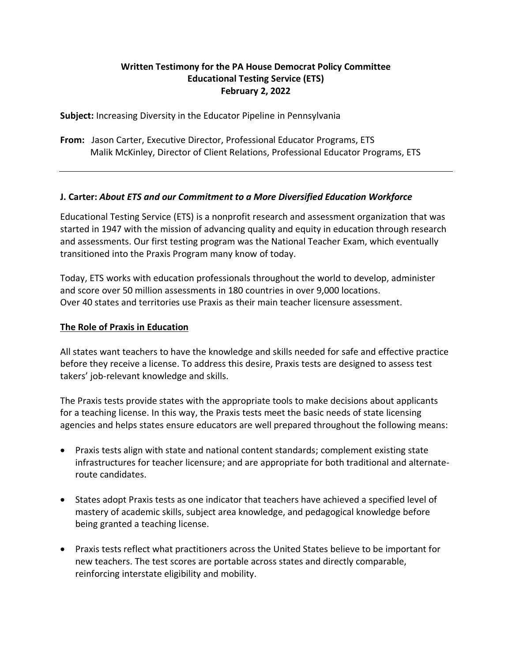# **Written Testimony for the PA House Democrat Policy Committee Educational Testing Service (ETS) February 2, 2022**

**Subject:** Increasing Diversity in the Educator Pipeline in Pennsylvania

**From:** Jason Carter, Executive Director, Professional Educator Programs, ETS Malik McKinley, Director of Client Relations, Professional Educator Programs, ETS

## **J. Carter:** *About ETS and our Commitment to a More Diversified Education Workforce*

Educational Testing Service (ETS) is a nonprofit research and assessment organization that was started in 1947 with the mission of advancing quality and equity in education through research and assessments. Our first testing program was the National Teacher Exam, which eventually transitioned into the Praxis Program many know of today.

Today, ETS works with education professionals throughout the world to develop, administer and score over 50 million assessments in 180 countries in over 9,000 locations. Over 40 states and territories use Praxis as their main teacher licensure assessment.

## **The Role of Praxis in Education**

All states want teachers to have the knowledge and skills needed for safe and effective practice before they receive a license. To address this desire, Praxis tests are designed to assess test takers' job-relevant knowledge and skills.

The Praxis tests provide states with the appropriate tools to make decisions about applicants for a teaching license. In this way, the Praxis tests meet the basic needs of state licensing agencies and helps states ensure educators are well prepared throughout the following means:

- Praxis tests align with state and national content standards; complement existing state infrastructures for teacher licensure; and are appropriate for both traditional and alternateroute candidates.
- States adopt Praxis tests as one indicator that teachers have achieved a specified level of mastery of academic skills, subject area knowledge, and pedagogical knowledge before being granted a teaching license.
- Praxis tests reflect what practitioners across the United States believe to be important for new teachers. The test scores are portable across states and directly comparable, reinforcing interstate eligibility and mobility.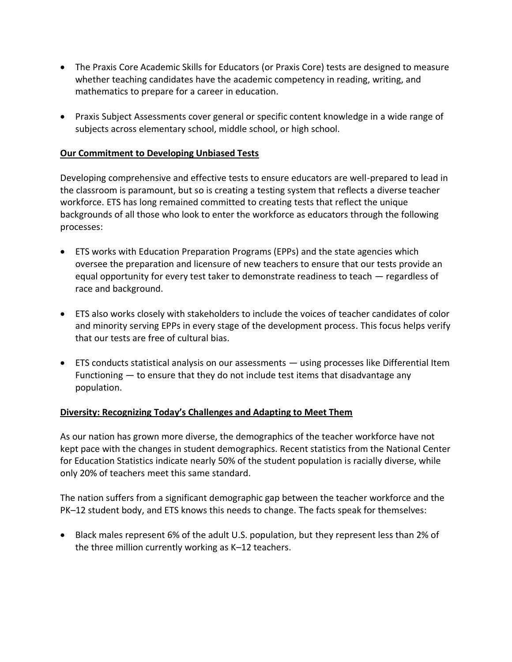- The Praxis Core Academic Skills for Educators (or Praxis Core) tests are designed to measure whether teaching candidates have the academic competency in reading, writing, and mathematics to prepare for a career in education.
- Praxis Subject Assessments cover general or specific content knowledge in a wide range of subjects across elementary school, middle school, or high school.

# **Our Commitment to Developing Unbiased Tests**

Developing comprehensive and effective tests to ensure educators are well-prepared to lead in the classroom is paramount, but so is creating a testing system that reflects a diverse teacher workforce. ETS has long remained committed to creating tests that reflect the unique backgrounds of all those who look to enter the workforce as educators through the following processes:

- ETS works with Education Preparation Programs (EPPs) and the state agencies which oversee the preparation and licensure of new teachers to ensure that our tests provide an equal opportunity for every test taker to demonstrate readiness to teach — regardless of race and background.
- ETS also works closely with stakeholders to include the voices of teacher candidates of color and minority serving EPPs in every stage of the development process. This focus helps verify that our tests are free of cultural bias.
- ETS conducts statistical analysis on our assessments using processes like Differential Item Functioning — to ensure that they do not include test items that disadvantage any population.

# **Diversity: Recognizing Today's Challenges and Adapting to Meet Them**

As our nation has grown more diverse, the demographics of the teacher workforce have not kept pace with the changes in student demographics. Recent statistics from the National Center for Education Statistics indicate nearly 50% of the student population is racially diverse, while only 20% of teachers meet this same standard.

The nation suffers from a significant demographic gap between the teacher workforce and the PK–12 student body, and ETS knows this needs to change. The facts speak for themselves:

• Black males represent 6% of the adult U.S. population, but they represent less than 2% of the three million currently working as K–12 teachers.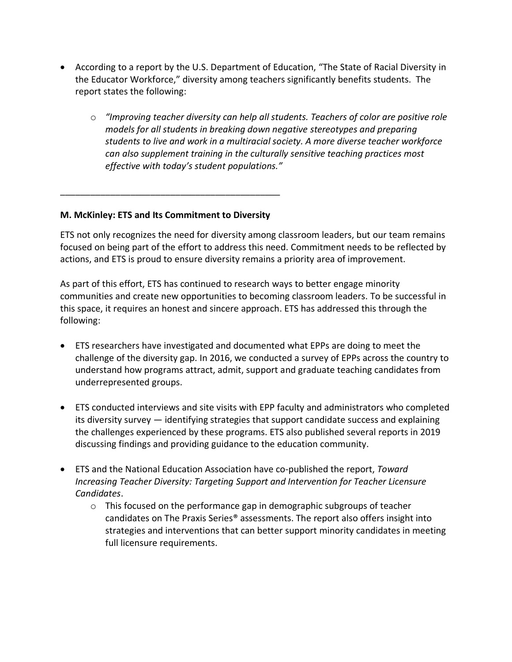- According to a report by the U.S. Department of Education, "The State of Racial Diversity in the Educator Workforce," diversity among teachers significantly benefits students. The report states the following:
	- o *"Improving teacher diversity can help all students. Teachers of color are positive role models for all students in breaking down negative stereotypes and preparing students to live and work in a multiracial society. A more diverse teacher workforce can also supplement training in the culturally sensitive teaching practices most effective with today's student populations."*

## **M. McKinley: ETS and Its Commitment to Diversity**

\_\_\_\_\_\_\_\_\_\_\_\_\_\_\_\_\_\_\_\_\_\_\_\_\_\_\_\_\_\_\_\_\_\_\_\_\_\_\_\_\_\_\_\_

ETS not only recognizes the need for diversity among classroom leaders, but our team remains focused on being part of the effort to address this need. Commitment needs to be reflected by actions, and ETS is proud to ensure diversity remains a priority area of improvement.

As part of this effort, ETS has continued to research ways to better engage minority communities and create new opportunities to becoming classroom leaders. To be successful in this space, it requires an honest and sincere approach. ETS has addressed this through the following:

- ETS researchers have investigated and documented what EPPs are doing to meet the challenge of the diversity gap. In 2016, we conducted a survey of EPPs across the country to understand how programs attract, admit, support and graduate teaching candidates from underrepresented groups.
- ETS conducted interviews and site visits with EPP faculty and administrators who completed its diversity survey — identifying strategies that support candidate success and explaining the challenges experienced by these programs. ETS also published several reports in 2019 discussing findings and providing guidance to the education community.
- ETS and the National Education Association have co-published the report, *Toward Increasing Teacher Diversity: Targeting Support and Intervention for Teacher Licensure Candidates*.
	- o This focused on the performance gap in demographic subgroups of teacher candidates on The Praxis Series® assessments. The report also offers insight into strategies and interventions that can better support minority candidates in meeting full licensure requirements.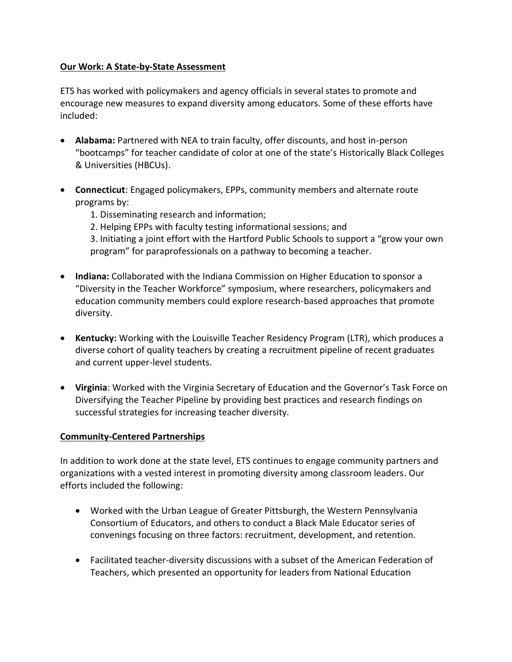## **Our Work: A State-by-State Assessment**

ETS has worked with policymakers and agency officials in several states to promote and encourage new measures to expand diversity among educators. Some of these efforts have included:

- **Alabama:** Partnered with NEA to train faculty, offer discounts, and host in-person "bootcamps" for teacher candidate of color at one of the state's Historically Black Colleges & Universities (HBCUs).
- **Connecticut**: Engaged policymakers, EPPs, community members and alternate route programs by:
	- 1. Disseminating research and information;
	- 2. Helping EPPs with faculty testing informational sessions; and

3. Initiating a joint effort with the Hartford Public Schools to support a "grow your own program" for paraprofessionals on a pathway to becoming a teacher.

- **Indiana:** Collaborated with the Indiana Commission on Higher Education to sponsor a "Diversity in the Teacher Workforce" symposium, where researchers, policymakers and education community members could explore research-based approaches that promote diversity.
- **Kentucky:** Working with the Louisville Teacher Residency Program (LTR), which produces a diverse cohort of quality teachers by creating a recruitment pipeline of recent graduates and current upper-level students.
- **Virginia**: Worked with the Virginia Secretary of Education and the Governor's Task Force on Diversifying the Teacher Pipeline by providing best practices and research findings on successful strategies for increasing teacher diversity.

# **Community-Centered Partnerships**

In addition to work done at the state level, ETS continues to engage community partners and organizations with a vested interest in promoting diversity among classroom leaders. Our efforts included the following:

- Worked with the Urban League of Greater Pittsburgh, the Western Pennsylvania Consortium of Educators, and others to conduct a Black Male Educator series of convenings focusing on three factors: recruitment, development, and retention.
- Facilitated teacher-diversity discussions with a subset of the American Federation of Teachers, which presented an opportunity for leaders from National Education